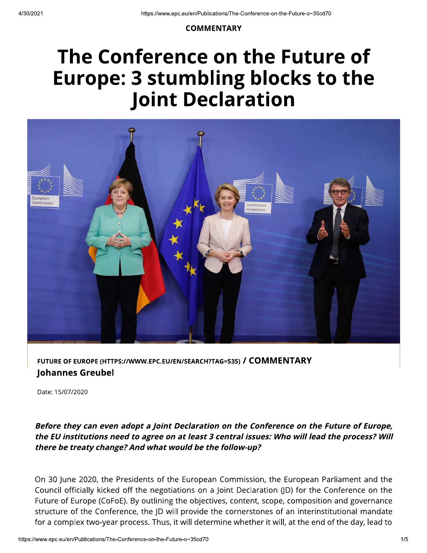#### **COMMENTARY**

# The Conference on the Future of **Europe: 3 stumbling blocks to the Joint Declaration**



## FUTURE OF EUROPE (HTTPS://WWW.EPC.EU/EN/SEARCH?TAG=535) / COMMENTARY **Johannes Greubel**

Date: 15/07/2020

### Before they can even adopt a Joint Declaration on the Conference on the Future of Europe, the EU institutions need to agree on at least 3 central issues: Who will lead the process? Will there be treaty change? And what would be the follow-up?

On 30 June 2020, the Presidents of the European Commission, the European Parliament and the Council officially kicked off the negotiations on a Joint Declaration (JD) for the Conference on the Future of Europe (CoFoE). By outlining the objectives, content, scope, composition and governance structure of the Conference, the JD will provide the cornerstones of an interinstitutional mandate for a complex two-year process. Thus, it will determine whether it will, at the end of the day, lead to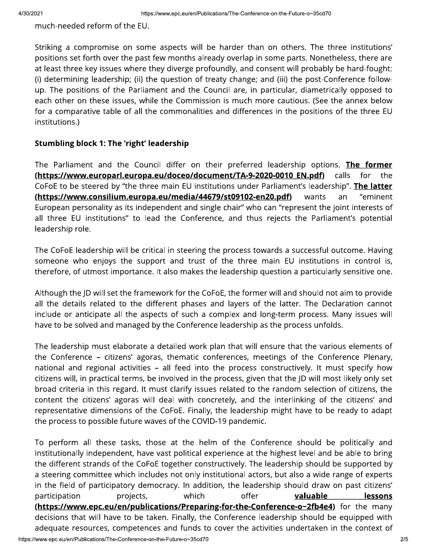much-needed reform of the EU.

Striking a compromise on some aspects will be harder than on others. The three institutions' positions set forth over the past few months already overlap in some parts. Nonetheless, there are at least three key issues where they diverge profoundly, and consent will probably be hard-fought: (i) determining leadership; (ii) the question of treaty change; and (iii) the post-Conference followup. The positions of the Parliament and the Council are, in particular, diametrically opposed to each other on these issues, while the Commission is much more cautious. (See the annex below for a comparative table of all the commonalities and differences in the positions of the three EU institutions.)

#### **Stumbling block 1: The 'right' leadership**

The Parliament and the Council differ on their preferred leadership options. The former <u>(https://www.europarl.europa.eu/doceo/document/TA-9-2020-0010 EN.pdf)</u> calls for the CoFoE to be steered by "the three main EU institutions under Parliament's leadership". The latter (https://www.consilium.europa.eu/media/44679/st09102-en20.pdf) wants "eminent an European personality as its independent and single chair" who can "represent the joint interests of all three EU institutions" to lead the Conference, and thus rejects the Parliament's potential leadership role.

The CoFoE leadership will be critical in steering the process towards a successful outcome. Having someone who enjoys the support and trust of the three main EU institutions in control is, therefore, of utmost importance. It also makes the leadership question a particularly sensitive one.

Although the JD will set the framework for the CoFoE, the former will and should not aim to provide all the details related to the different phases and layers of the latter. The Declaration cannot include or anticipate all the aspects of such a complex and long-term process. Many issues will have to be solved and managed by the Conference leadership as the process unfolds.

The leadership must elaborate a detailed work plan that will ensure that the various elements of the Conference - citizens' agoras, thematic conferences, meetings of the Conference Plenary, national and regional activities – all feed into the process constructively. It must specify how citizens will, in practical terms, be involved in the process, given that the JD will most likely only set broad criteria in this regard. It must clarify issues related to the random selection of citizens, the content the citizens' agoras will deal with concretely, and the interlinking of the citizens' and representative dimensions of the CoFoE. Finally, the leadership might have to be ready to adapt the process to possible future waves of the COVID-19 pandemic.

To perform all these tasks, those at the helm of the Conference should be politically and institutionally independent, have vast political experience at the highest level and be able to bring the different strands of the CoFoE together constructively. The leadership should be supported by a steering committee which includes not only institutional actors, but also a wide range of experts in the field of participatory democracy. In addition, the leadership should draw on past citizens' offer participation projects, which valuable lessons (https://www.epc.eu/en/publications/Preparing-for-the-Conference-o~2fb4e4) for the many decisions that will have to be taken. Finally, the Conference leadership should be equipped with adequate resources, competences and funds to cover the activities undertaken in the context of https://www.epc.eu/en/Publications/The-Conference-on-the-Future-o~35cd70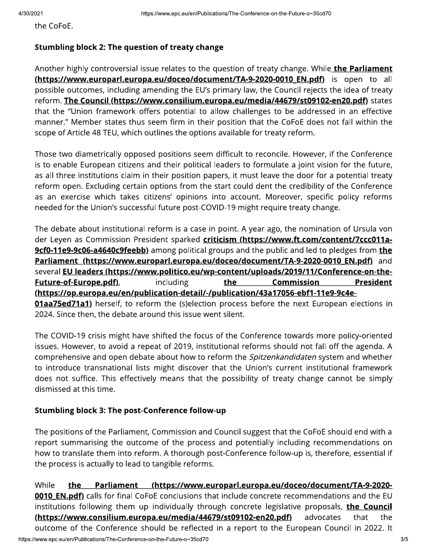the CoFoE.

#### **Stumbling block 2: The question of treaty change**

Another highly controversial issue relates to the question of treaty change. While the Parliament (https://www.europarl.europa.eu/doceo/document/TA-9-2020-0010 EN.pdf) is open to all possible outcomes, including amending the EU's primary law, the Council rejects the idea of treaty reform. The Council (https://www.consilium.europa.eu/media/44679/st09102-en20.pdf) states that the "Union framework offers potential to allow challenges to be addressed in an effective manner." Member states thus seem firm in their position that the CoFoE does not fall within the scope of Article 48 TEU, which outlines the options available for treaty reform.

Those two diametrically opposed positions seem difficult to reconcile. However, if the Conference is to enable European citizens and their political leaders to formulate a joint vision for the future, as all three institutions claim in their position papers, it must leave the door for a potential treaty reform open. Excluding certain options from the start could dent the credibility of the Conference as an exercise which takes citizens' opinions into account. Moreover, specific policy reforms needed for the Union's successful future post-COVID-19 might require treaty change.

The debate about institutional reform is a case in point. A year ago, the nomination of Ursula von der Leyen as Commission President sparked criticism (https://www.ft.com/content/7ccc011a-9cf0-11e9-9c06-a4640c9feebb) among political groups and the public and led to pledges from the Parliament (https://www.europarl.europa.eu/doceo/document/TA-9-2020-0010 EN.pdf) and several EU leaders (https://www.politico.eu/wp-content/uploads/2019/11/Conference-on-the-Future-of-Europe.pdf), including **Commission President** the (https://op.europa.eu/en/publication-detail/-/publication/43a17056-ebf1-11e9-9c4e-**01aa75ed71a1**) herself, to reform the (s)election process before the next European elections in 2024. Since then, the debate around this issue went silent.

The COVID-19 crisis might have shifted the focus of the Conference towards more policy-oriented issues. However, to avoid a repeat of 2019, institutional reforms should not fall off the agenda. A comprehensive and open debate about how to reform the Spitzenkandidaten system and whether to introduce transnational lists might discover that the Union's current institutional framework does not suffice. This effectively means that the possibility of treaty change cannot be simply dismissed at this time.

### **Stumbling block 3: The post-Conference follow-up**

The positions of the Parliament, Commission and Council suggest that the CoFoE should end with a report summarising the outcome of the process and potentially including recommendations on how to translate them into reform. A thorough post-Conference follow-up is, therefore, essential if the process is actually to lead to tangible reforms.

While Parliament (https://www.europarl.europa.eu/doceo/document/TA-9-2020the 0010 EN.pdf) calls for final CoFoE conclusions that include concrete recommendations and the EU institutions following them up individually through concrete legislative proposals, the Council (https://www.consilium.europa.eu/media/44679/st09102-en20.pdf) advocates that the outcome of the Conference should be reflected in a report to the European Council in 2022. It https://www.epc.eu/en/Publications/The-Conference-on-the-Future-o~35cd70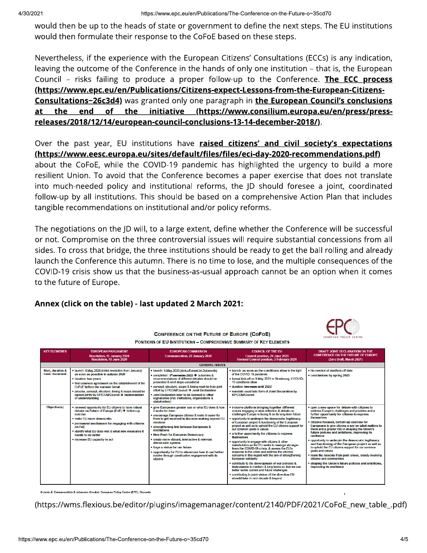would then be up to the heads of state or government to define the next steps. The EU institutions would then formulate their response to the CoFoE based on these steps.

Nevertheless, if the experience with the European Citizens' Consultations (ECCs) is any indication, leaving the outcome of the Conference in the hands of only one institution - that is, the European Council - risks failing to produce a proper follow-up to the Conference. The ECC process (https://www.epc.eu/en/Publications/Citizens-expect-Lessons-from-the-European-Citizens-Consultations~26c3d4) was granted only one paragraph in the European Council's conclusions end of the initiative (https://www.consilium.europa.eu/en/press/press-<u>at the </u> releases/2018/12/14/european-council-conclusions-13-14-december-2018/).

Over the past year, EU institutions have **raised citizens' and civil society's expectations** (https://www.eesc.europa.eu/sites/default/files/files/eci-day-2020-recommendations.pdf)

about the CoFoE, while the COVID-19 pandemic has highlighted the urgency to build a more resilient Union. To avoid that the Conference becomes a paper exercise that does not translate into much-needed policy and institutional reforms, the JD should foresee a joint, coordinated follow-up by all institutions. This should be based on a comprehensive Action Plan that includes tangible recommendations on institutional and/or policy reforms.

The negotiations on the JD will, to a large extent, define whether the Conference will be successful or not. Compromise on the three controversial issues will require substantial concessions from all sides. To cross that bridge, the three institutions should be ready to get the ball rolling and already launch the Conference this autumn. There is no time to lose, and the multiple consequences of the COVID-19 crisis show us that the business-as-usual approach cannot be an option when it comes to the future of Europe.

### Annex (click on the table) - last updated 2 March 2021:



**CONFERENCE ON THE FUTURE OF EUROPE (COFOE) POSITIONS OF EU INSTITUTIONS - COMPREHENSIVE SUMMARY OF KEY ELEMENTS** 

| <b>KEY ELEMENTS</b>                            | <b>EUROPEAN PARLIAMENT</b><br>Resolution. 15 January 2020<br>Resolution, 18 June 2020                                                                                                                                                                                                                                                         | <b>EUROPEAN COMMISSION</b><br><b>Communication, 22 January 2020</b>                                                                                                                                                                                                                                                                                                                                                                                                                                                                  | <b>COUNCIL OF THE EU</b><br><b>Council position, 24 June 2020</b><br><b>Revised Council position. 3 February 2021</b>                                                                                                                                                                                                                                                                                                                                                                                                                                                                                                                                                                                                                                                                                                                                                                                                                                                                 | DRAFT JOINT DECLARATION ON THE<br><b>CONFERENCE ON THE FUTURE OF EUROPE</b><br>(Zero Draft, March 2021)                                                                                                                                                                                                                                                                                                                                                                                                                                                                                                                                                                                                                                          |
|------------------------------------------------|-----------------------------------------------------------------------------------------------------------------------------------------------------------------------------------------------------------------------------------------------------------------------------------------------------------------------------------------------|--------------------------------------------------------------------------------------------------------------------------------------------------------------------------------------------------------------------------------------------------------------------------------------------------------------------------------------------------------------------------------------------------------------------------------------------------------------------------------------------------------------------------------------|---------------------------------------------------------------------------------------------------------------------------------------------------------------------------------------------------------------------------------------------------------------------------------------------------------------------------------------------------------------------------------------------------------------------------------------------------------------------------------------------------------------------------------------------------------------------------------------------------------------------------------------------------------------------------------------------------------------------------------------------------------------------------------------------------------------------------------------------------------------------------------------------------------------------------------------------------------------------------------------|--------------------------------------------------------------------------------------------------------------------------------------------------------------------------------------------------------------------------------------------------------------------------------------------------------------------------------------------------------------------------------------------------------------------------------------------------------------------------------------------------------------------------------------------------------------------------------------------------------------------------------------------------------------------------------------------------------------------------------------------------|
| <b>GENERAL ISSUES</b>                          |                                                                                                                                                                                                                                                                                                                                               |                                                                                                                                                                                                                                                                                                                                                                                                                                                                                                                                      |                                                                                                                                                                                                                                                                                                                                                                                                                                                                                                                                                                                                                                                                                                                                                                                                                                                                                                                                                                                       |                                                                                                                                                                                                                                                                                                                                                                                                                                                                                                                                                                                                                                                                                                                                                  |
| <b>Start, duration &amp;</b><br>basic document | . launch: 9 May 2020 (initial resolution from January)<br>as soon as possible in autumn 2020<br>· duration: two vears<br>. find common agreement on the establishment of the<br>CoFoF before the summer break<br>· process, concept, structure, timing & scope should be<br>agreed jointly by EP/COM/Council → memorandum<br>of understanding | . Jaunch: 9 May 2020 (kick-off event in Dubroynik)<br>● completion: 4 <sup>4</sup> -semester 2022 → outcomes &<br>recommendations of different debates should be<br>presented & next steps considered<br>· concept, structure, scope & timing must be truly joint<br>effort by EP/COM/Council → Joint Declaration<br>. Joint Declaration later to be opened to other<br>signatories (incl. institutions, organisations &<br>stakeholders)                                                                                            | . launch: as soon as the conditions allow in the light<br>of the COVID-19 pandemic<br>. formal kick-off on 9 May 2021 in Strasbourg, if COVID-<br>19 conditions allow<br>· duration: two years until 2022<br>. mandate could take form of Joint Declaration by<br><b>FP/COM/Council</b>                                                                                                                                                                                                                                                                                                                                                                                                                                                                                                                                                                                                                                                                                               | . No mention of start/kick-off date<br>• conclusions by spring 2022                                                                                                                                                                                                                                                                                                                                                                                                                                                                                                                                                                                                                                                                              |
| Objective(s)                                   | • renewed opportunity for EU citizens to have robust<br>debate on Future of Europe (FoE) → bottom-up<br>exercise<br>• make EU more democratic<br>• permanent mechanism for engaging with citizens<br>on FoF<br>. identify what EU does well & what new measures it<br>needs to do better<br>• increase EU capacity to act                     | give Europeans greater say on what EU does & how<br>it works for them<br>• encourage European citizens & make it easier for<br>them to get involved in decision-making beyond EU<br>elections<br>• strengthening link between Europeans &<br><i>institutions</i><br>. New Push for European Democracy<br>• create more vibrant, interactive & relevant<br>democratic system<br>. forge a vision for our future<br>. opportunity for EU to showcase how it can further<br>evolve through constructive engagement with its<br>citizens | . inclusive platform bringing together different<br>voices engaging in wide reflection & debate on<br>challenges Europe is facing & on its long-term future<br>. opportunity to underpin the democratic legitimacy<br>of European project & functioning of the European<br>project as well as to uphold the EU citizens support for<br>our common goals & values<br>• a further opportunity for citizens to express<br>themselves<br>. opportunity to engage with citizens & other<br>stakeholders as the EU seeks to emerge stronger<br>from the COVID-19 crisis, & assess the EU's<br>response to the crisis and address the citizens'<br>concerns in this regard with the aim of strengthening<br><b>European solidarity</b><br>• contribute to the development of our policies &<br>instruments in medium & long terms so that we can<br>better tackle current and future challenges<br>• contributing to joint vision of the direction EU<br>should take in next decade & beyond | open a new space for debate with citizens to<br>address Europe's challenges and priorities and a<br>further opportunity for citizens to express<br>themselves<br>· citizens-focused, bottom-up exercise for<br>Europeans to give citizens a say on what matters to<br>them and a greater role in shaping the Union's<br>future policies and ambitions, improving its<br>resilience<br>opportunity to underpin the democratic legitimacy<br>and functioning of the European project as well as<br>to uphold the EU citizens support for our common<br>goals and values<br>. learn the lessons from past crises, closely involving<br>citizens and communities<br>• shaping the Union's future policies and ambitions,<br>improving its resilience |

uilidis & Johannes Greubel, European Policy Centre (EPC), Brussels

(https://wms.flexious.be/editor/plugins/imagemanager/content/2140/PDF/2021/CoFoE\_new\_table\_.pdf)